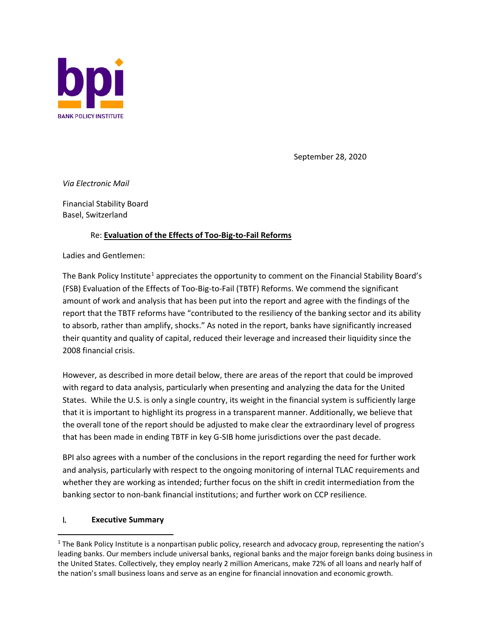

September 28, 2020

*Via Electronic Mail*

Financial Stability Board Basel, Switzerland

# Re: **Evaluation of the Effects of Too-Big-to-Fail Reforms**

Ladies and Gentlemen:

The Bank Policy Institute<sup>[1](#page-0-0)</sup> appreciates the opportunity to comment on the Financial Stability Board's (FSB) Evaluation of the Effects of Too-Big-to-Fail (TBTF) Reforms. We commend the significant amount of work and analysis that has been put into the report and agree with the findings of the report that the TBTF reforms have "contributed to the resiliency of the banking sector and its ability to absorb, rather than amplify, shocks." As noted in the report, banks have significantly increased their quantity and quality of capital, reduced their leverage and increased their liquidity since the 2008 financial crisis.

However, as described in more detail below, there are areas of the report that could be improved with regard to data analysis, particularly when presenting and analyzing the data for the United States. While the U.S. is only a single country, its weight in the financial system is sufficiently large that it is important to highlight its progress in a transparent manner. Additionally, we believe that the overall tone of the report should be adjusted to make clear the extraordinary level of progress that has been made in ending TBTF in key G-SIB home jurisdictions over the past decade.

BPI also agrees with a number of the conclusions in the report regarding the need for further work and analysis, particularly with respect to the ongoing monitoring of internal TLAC requirements and whether they are working as intended; further focus on the shift in credit intermediation from the banking sector to non-bank financial institutions; and further work on CCP resilience.

#### I. **Executive Summary**

<span id="page-0-0"></span><sup>&</sup>lt;sup>1</sup> The Bank Policy Institute is a nonpartisan public policy, research and advocacy group, representing the nation's leading banks. Our members include universal banks, regional banks and the major foreign banks doing business in the United States. Collectively, they employ nearly 2 million Americans, make 72% of all loans and nearly half of the nation's small business loans and serve as an engine for financial innovation and economic growth.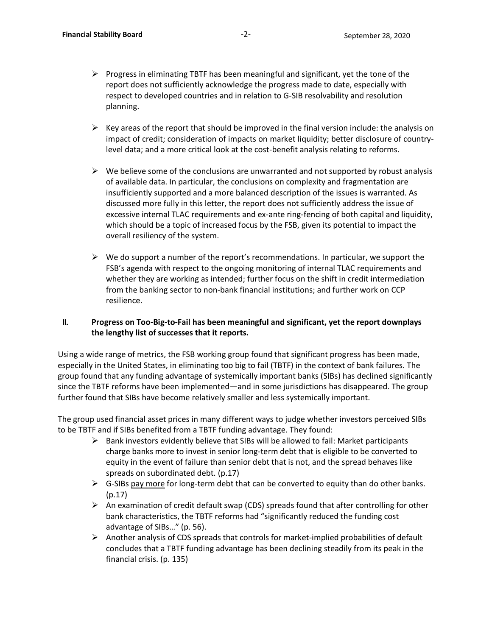- $\triangleright$  Progress in eliminating TBTF has been meaningful and significant, yet the tone of the report does not sufficiently acknowledge the progress made to date, especially with respect to developed countries and in relation to G-SIB resolvability and resolution planning.
- $\triangleright$  Key areas of the report that should be improved in the final version include: the analysis on impact of credit; consideration of impacts on market liquidity; better disclosure of countrylevel data; and a more critical look at the cost-benefit analysis relating to reforms.
- $\triangleright$  We believe some of the conclusions are unwarranted and not supported by robust analysis of available data. In particular, the conclusions on complexity and fragmentation are insufficiently supported and a more balanced description of the issues is warranted. As discussed more fully in this letter, the report does not sufficiently address the issue of excessive internal TLAC requirements and ex-ante ring-fencing of both capital and liquidity, which should be a topic of increased focus by the FSB, given its potential to impact the overall resiliency of the system.
- $\triangleright$  We do support a number of the report's recommendations. In particular, we support the FSB's agenda with respect to the ongoing monitoring of internal TLAC requirements and whether they are working as intended; further focus on the shift in credit intermediation from the banking sector to non-bank financial institutions; and further work on CCP resilience.

# II. **Progress on Too-Big-to-Fail has been meaningful and significant, yet the report downplays the lengthy list of successes that it reports.**

Using a wide range of metrics, the FSB working group found that significant progress has been made, especially in the United States, in eliminating too big to fail (TBTF) in the context of bank failures. The group found that any funding advantage of systemically important banks (SIBs) has declined significantly since the TBTF reforms have been implemented—and in some jurisdictions has disappeared. The group further found that SIBs have become relatively smaller and less systemically important.

The group used financial asset prices in many different ways to judge whether investors perceived SIBs to be TBTF and if SIBs benefited from a TBTF funding advantage. They found:

- $\triangleright$  Bank investors evidently believe that SIBs will be allowed to fail: Market participants charge banks more to invest in senior long-term debt that is eligible to be converted to equity in the event of failure than senior debt that is not, and the spread behaves like spreads on subordinated debt. (p.17)
- $\triangleright$  G-SIBs pay more for long-term debt that can be converted to equity than do other banks. (p.17)
- $\triangleright$  An examination of credit default swap (CDS) spreads found that after controlling for other bank characteristics, the TBTF reforms had "significantly reduced the funding cost advantage of SIBs…" (p. 56).
- $\triangleright$  Another analysis of CDS spreads that controls for market-implied probabilities of default concludes that a TBTF funding advantage has been declining steadily from its peak in the financial crisis. (p. 135)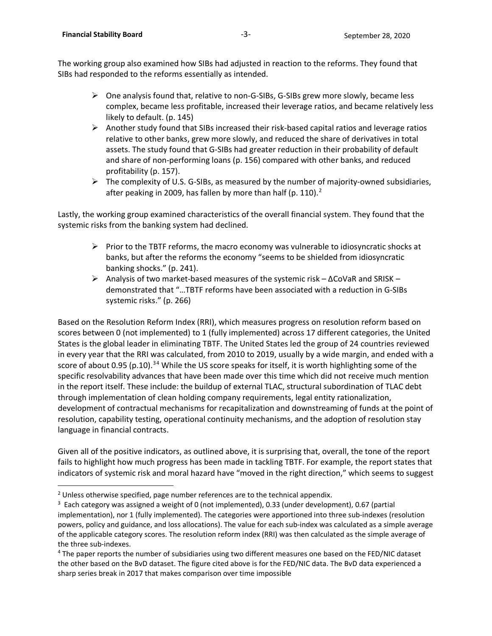The working group also examined how SIBs had adjusted in reaction to the reforms. They found that SIBs had responded to the reforms essentially as intended.

- $\triangleright$  One analysis found that, relative to non-G-SIBs, G-SIBs grew more slowly, became less complex, became less profitable, increased their leverage ratios, and became relatively less likely to default. (p. 145)
- $\triangleright$  Another study found that SIBs increased their risk-based capital ratios and leverage ratios relative to other banks, grew more slowly, and reduced the share of derivatives in total assets. The study found that G-SIBs had greater reduction in their probability of default and share of non-performing loans (p. 156) compared with other banks, and reduced profitability (p. 157).
- $\triangleright$  The complexity of U.S. G-SIBs, as measured by the number of majority-owned subsidiaries, after peaking in [2](#page-2-0)009, has fallen by more than half (p. 110). $<sup>2</sup>$ </sup>

Lastly, the working group examined characteristics of the overall financial system. They found that the systemic risks from the banking system had declined.

- $\triangleright$  Prior to the TBTF reforms, the macro economy was vulnerable to idiosyncratic shocks at banks, but after the reforms the economy "seems to be shielded from idiosyncratic banking shocks." (p. 241).
- Analysis of two market-based measures of the systemic risk ∆CoVaR and SRISK demonstrated that "…TBTF reforms have been associated with a reduction in G-SIBs systemic risks." (p. 266)

Based on the Resolution Reform Index (RRI), which measures progress on resolution reform based on scores between 0 (not implemented) to 1 (fully implemented) across 17 different categories, the United States is the global leader in eliminating TBTF. The United States led the group of 24 countries reviewed in every year that the RRI was calculated, from 2010 to 2019, usually by a wide margin, and ended with a score of about 0.95 (p.10).<sup>[3](#page-2-1)[4](#page-2-2)</sup> While the US score speaks for itself, it is worth highlighting some of the specific resolvability advances that have been made over this time which did not receive much mention in the report itself. These include: the buildup of external TLAC, structural subordination of TLAC debt through implementation of clean holding company requirements, legal entity rationalization, development of contractual mechanisms for recapitalization and downstreaming of funds at the point of resolution, capability testing, operational continuity mechanisms, and the adoption of resolution stay language in financial contracts.

Given all of the positive indicators, as outlined above, it is surprising that, overall, the tone of the report fails to highlight how much progress has been made in tackling TBTF. For example, the report states that indicators of systemic risk and moral hazard have "moved in the right direction," which seems to suggest

<span id="page-2-0"></span> $2$  Unless otherwise specified, page number references are to the technical appendix.

<span id="page-2-1"></span><sup>&</sup>lt;sup>3</sup> Each category was assigned a weight of 0 (not implemented), 0.33 (under development), 0.67 (partial implementation), nor 1 (fully implemented). The categories were apportioned into three sub-indexes (resolution powers, policy and guidance, and loss allocations). The value for each sub-index was calculated as a simple average of the applicable category scores. The resolution reform index (RRI) was then calculated as the simple average of the three sub-indexes.

<span id="page-2-2"></span><sup>4</sup> The paper reports the number of subsidiaries using two different measures one based on the FED/NIC dataset the other based on the BvD dataset. The figure cited above is for the FED/NIC data. The BvD data experienced a sharp series break in 2017 that makes comparison over time impossible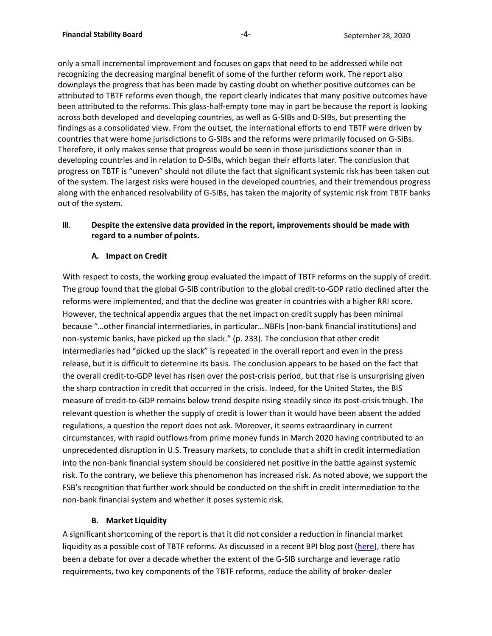only a small incremental improvement and focuses on gaps that need to be addressed while not recognizing the decreasing marginal benefit of some of the further reform work. The report also downplays the progress that has been made by casting doubt on whether positive outcomes can be attributed to TBTF reforms even though, the report clearly indicates that many positive outcomes have been attributed to the reforms. This glass-half-empty tone may in part be because the report is looking across both developed and developing countries, as well as G-SIBs and D-SIBs, but presenting the findings as a consolidated view. From the outset, the international efforts to end TBTF were driven by countries that were home jurisdictions to G-SIBs and the reforms were primarily focused on G-SIBs. Therefore, it only makes sense that progress would be seen in those jurisdictions sooner than in developing countries and in relation to D-SIBs, which began their efforts later. The conclusion that progress on TBTF is "uneven" should not dilute the fact that significant systemic risk has been taken out of the system. The largest risks were housed in the developed countries, and their tremendous progress along with the enhanced resolvability of G-SIBs, has taken the majority of systemic risk from TBTF banks out of the system.

#### III. **Despite the extensive data provided in the report, improvements should be made with regard to a number of points.**

# **A. Impact on Credit**

With respect to costs, the working group evaluated the impact of TBTF reforms on the supply of credit. The group found that the global G-SIB contribution to the global credit-to-GDP ratio declined after the reforms were implemented, and that the decline was greater in countries with a higher RRI score. However, the technical appendix argues that the net impact on credit supply has been minimal because "…other financial intermediaries, in particular…NBFIs [non-bank financial institutions] and non-systemic banks, have picked up the slack." (p. 233). The conclusion that other credit intermediaries had "picked up the slack" is repeated in the overall report and even in the press release, but it is difficult to determine its basis. The conclusion appears to be based on the fact that the overall credit-to-GDP level has risen over the post-crisis period, but that rise is unsurprising given the sharp contraction in credit that occurred in the crisis. Indeed, for the United States, the BIS measure of credit-to-GDP remains below trend despite rising steadily since its post-crisis trough. The relevant question is whether the supply of credit is lower than it would have been absent the added regulations, a question the report does not ask. Moreover, it seems extraordinary in current circumstances, with rapid outflows from prime money funds in March 2020 having contributed to an unprecedented disruption in U.S. Treasury markets, to conclude that a shift in credit intermediation into the non-bank financial system should be considered net positive in the battle against systemic risk. To the contrary, we believe this phenomenon has increased risk. As noted above, we support the FSB's recognition that further work should be conducted on the shift in credit intermediation to the non-bank financial system and whether it poses systemic risk.

#### **B. Market Liquidity**

A significant shortcoming of the report is that it did not consider a reduction in financial market liquidity as a possible cost of TBTF reforms. As discussed in a recent BPI blog post [\(here\)](https://bpi.com/have-banking-regulations-reduced-market-liquidity/), there has been a debate for over a decade whether the extent of the G-SIB surcharge and leverage ratio requirements, two key components of the TBTF reforms, reduce the ability of broker-dealer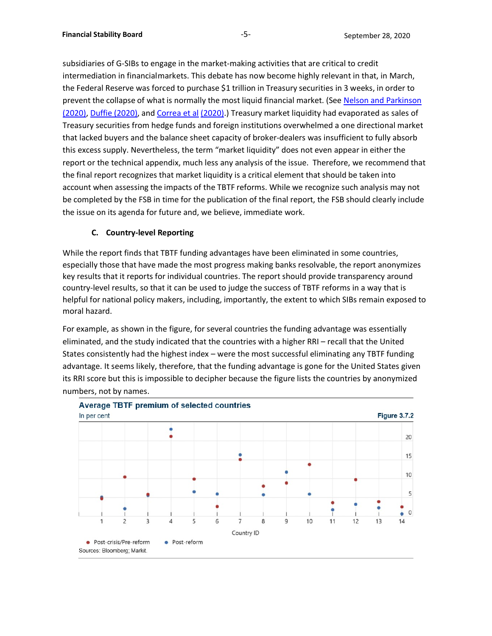subsidiaries of G-SIBs to engage in the market-making activities that are critical to credit intermediation in financialmarkets. This debate has now become highly relevant in that, in March, the Federal Reserve was forced to purchase \$1 trillion in Treasury securities in 3 weeks, in order to prevent the collapse of what is normally the most liquid financial market. (See [Nelson and Parkinson](https://bpi.com/have-banking-regulations-reduced-market-liquidity/)  [\(2020\),](https://bpi.com/have-banking-regulations-reduced-market-liquidity/) [Duffie \(2020\), a](https://www.brookings.edu/wp-content/uploads/2020/05/WP62_Duffie_updated.pdf)nd [Correa et](https://www.nber.org/papers/w27491) al [\(2020\).](https://www.nber.org/papers/w27491)) Treasury market liquidity had evaporated as sales of Treasury securities from hedge funds and foreign institutions overwhelmed a one directional market that lacked buyers and the balance sheet capacity of broker-dealers was insufficient to fully absorb this excess supply. Nevertheless, the term "market liquidity" does not even appear in either the report or the technical appendix, much less any analysis of the issue. Therefore, we recommend that the final report recognizes that market liquidity is a critical element that should be taken into account when assessing the impacts of the TBTF reforms. While we recognize such analysis may not be completed by the FSB in time for the publication of the final report, the FSB should clearly include the issue on its agenda for future and, we believe, immediate work.

# **C. Country-level Reporting**

While the report finds that TBTF funding advantages have been eliminated in some countries, especially those that have made the most progress making banks resolvable, the report anonymizes key results that it reports for individual countries. The report should provide transparency around country-level results, so that it can be used to judge the success of TBTF reforms in a way that is helpful for national policy makers, including, importantly, the extent to which SIBs remain exposed to moral hazard.

For example, as shown in the figure, for several countries the funding advantage was essentially eliminated, and the study indicated that the countries with a higher RRI – recall that the United States consistently had the highest index – were the most successful eliminating any TBTF funding advantage. It seems likely, therefore, that the funding advantage is gone for the United States given its RRI score but this is impossible to decipher because the figure lists the countries by anonymized numbers, not by names.

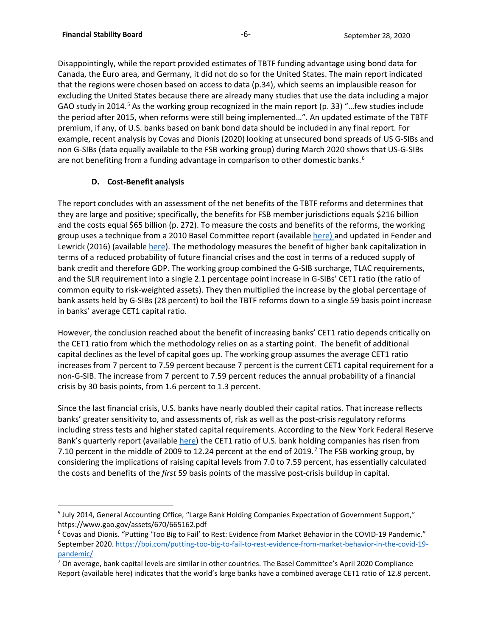Disappointingly, while the report provided estimates of TBTF funding advantage using bond data for Canada, the Euro area, and Germany, it did not do so for the United States. The main report indicated that the regions were chosen based on access to data (p.34), which seems an implausible reason for excluding the United States because there are already many studies that use the data including a major GAO study in 2014.<sup>[5](#page-5-0)</sup> As the working group recognized in the main report (p. 33) "... few studies include the period after 2015, when reforms were still being implemented…". An updated estimate of the TBTF premium, if any, of U.S. banks based on bank bond data should be included in any final report. For example, recent analysis by Covas and Dionis (2020) looking at unsecured bond spreads of US G-SIBs and non G-SIBs (data equally available to the FSB working group) during March 2020 shows that US-G-SIBs are not benefiting from a funding advantage in comparison to other domestic banks.<sup>[6](#page-5-1)</sup>

# **D. Cost-Benefit analysis**

The report concludes with an assessment of the net benefits of the TBTF reforms and determines that they are large and positive; specifically, the benefits for FSB member jurisdictions equals \$216 billion and the costs equal \$65 billion (p. 272). To measure the costs and benefits of the reforms, the working group uses a technique from a 2010 Basel Committee report (available [here\) a](https://www.bis.org/publ/bcbs173.pdf)nd updated in Fender and Lewrick (2016) (available [here\)](https://www.bis.org/publ/bcbs173.pdf). The methodology measures the benefit of higher bank capitalization in terms of a reduced probability of future financial crises and the cost in terms of a reduced supply of bank credit and therefore GDP. The working group combined the G-SIB surcharge, TLAC requirements, and the SLR requirement into a single 2.1 percentage point increase in G-SIBs' CET1 ratio (the ratio of common equity to risk-weighted assets). They then multiplied the increase by the global percentage of bank assets held by G-SIBs (28 percent) to boil the TBTF reforms down to a single 59 basis point increase in banks' average CET1 capital ratio.

However, the conclusion reached about the benefit of increasing banks' CET1 ratio depends critically on the CET1 ratio from which the methodology relies on as a starting point. The benefit of additional capital declines as the level of capital goes up. The working group assumes the average CET1 ratio increases from 7 percent to 7.59 percent because 7 percent is the current CET1 capital requirement for a non-G-SIB. The increase from 7 percent to 7.59 percent reduces the annual probability of a financial crisis by 30 basis points, from 1.6 percent to 1.3 percent.

Since the last financial crisis, U.S. banks have nearly doubled their capital ratios. That increase reflects banks' greater sensitivity to, and assessments of, risk as well as the post-crisis regulatory reforms including stress tests and higher stated capital requirements. According to the New York Federal Reserve Bank's quarterly report (availabl[e here\)](https://www.newyorkfed.org/medialibrary/media/research/banking_research/quarterlytrends2019q4.pdf?la=en) the CET1 ratio of U.S. bank holding companies has risen from [7](#page-5-2).10 percent in the middle of 2009 to 12.24 percent at the end of 2019.<sup>7</sup> The FSB working group, by considering the implications of raising capital levels from 7.0 to 7.59 percent, has essentially calculated the costs and benefits of the *first* 59 basis points of the massive post-crisis buildup in capital.

<span id="page-5-0"></span><sup>&</sup>lt;sup>5</sup> July 2014, General Accounting Office, "Large Bank Holding Companies Expectation of Government Support," https://www.gao.gov/assets/670/665162.pdf

<span id="page-5-1"></span><sup>6</sup> Covas and Dionis. "Putting 'Too Big to Fail' to Rest: Evidence from Market Behavior in the COVID-19 Pandemic." September 2020. [https://bpi.com/putting-too-big-to-fail-to-rest-evidence-from-market-behavior-in-the-covid-19](https://bpi.com/putting-too-big-to-fail-to-rest-evidence-from-market-behavior-in-the-covid-19-%20pandemic/) [pandemic/](https://bpi.com/putting-too-big-to-fail-to-rest-evidence-from-market-behavior-in-the-covid-19-%20pandemic/)

<span id="page-5-2"></span> $7$  On average, bank capital levels are similar in other countries. The Basel Committee's April 2020 Compliance Report (available here) indicates that the world's large banks have a combined average CET1 ratio of 12.8 percent.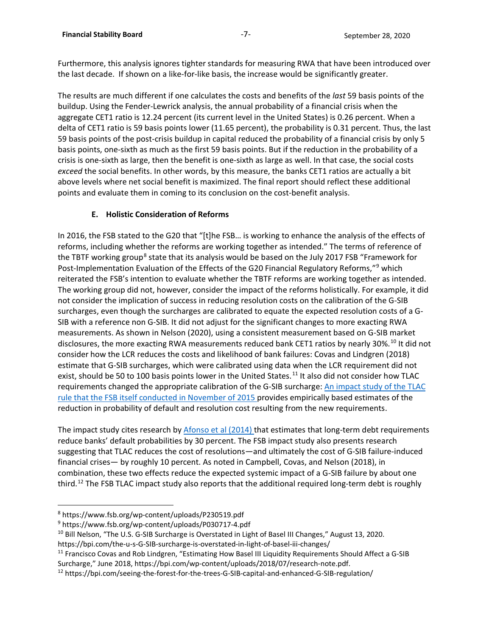Furthermore, this analysis ignores tighter standards for measuring RWA that have been introduced over the last decade. If shown on a like-for-like basis, the increase would be significantly greater.

The results are much different if one calculates the costs and benefits of the *last* 59 basis points of the buildup. Using the Fender-Lewrick analysis, the annual probability of a financial crisis when the aggregate CET1 ratio is 12.24 percent (its current level in the United States) is 0.26 percent. When a delta of CET1 ratio is 59 basis points lower (11.65 percent), the probability is 0.31 percent. Thus, the last 59 basis points of the post-crisis buildup in capital reduced the probability of a financial crisis by only 5 basis points, one-sixth as much as the first 59 basis points. But if the reduction in the probability of a crisis is one-sixth as large, then the benefit is one-sixth as large as well. In that case, the social costs *exceed* the social benefits. In other words, by this measure, the banks CET1 ratios are actually a bit above levels where net social benefit is maximized. The final report should reflect these additional points and evaluate them in coming to its conclusion on the cost-benefit analysis.

# **E. Holistic Consideration of Reforms**

In 2016, the FSB stated to the G20 that "[t]he FSB… is working to enhance the analysis of the effects of reforms, including whether the reforms are working together as intended." The terms of reference of the TBTF working group<sup>[8](#page-6-0)</sup> state that its analysis would be based on the July 2017 FSB "Framework for Post-Implementation Evaluation of the Effects of the G20 Financial Regulatory Reforms,"<sup>[9](#page-6-1)</sup> which reiterated the FSB's intention to evaluate whether the TBTF reforms are working together as intended. The working group did not, however, consider the impact of the reforms holistically. For example, it did not consider the implication of success in reducing resolution costs on the calibration of the G-SIB surcharges, even though the surcharges are calibrated to equate the expected resolution costs of a G-SIB with a reference non G-SIB. It did not adjust for the significant changes to more exacting RWA measurements. As shown in Nelson (2020), using a consistent measurement based on G-SIB market disclosures, the more exacting RWA measurements reduced bank CET1 ratios by nearly 30%.<sup>[10](#page-6-2)</sup> It did not consider how the LCR reduces the costs and likelihood of bank failures: Covas and Lindgren (2018) estimate that G-SIB surcharges, which were calibrated using data when the LCR requirement did not exist, should be 50 to 100 basis points lower in the United States.<sup>[11](#page-6-3)</sup> It also did not consider how TLAC requirements changed the appropriate calibration of the G-SIB surcharge: [An impact study of the TLAC](https://bpi.com/wp-content/uploads/2018/07/othp24.pdf) [rule that the FSB itself conducted in November of 2015 p](https://bpi.com/wp-content/uploads/2018/07/othp24.pdf)rovides empirically based estimates of the reduction in probability of default and resolution cost resulting from the new requirements.

The impact study cites research by [Afonso et al \(2014\) t](https://www.newyorkfed.org/research/epr/2014/1412afon.html)hat estimates that long-term debt requirements reduce banks' default probabilities by 30 percent. The FSB impact study also presents research suggesting that TLAC reduces the cost of resolutions—and ultimately the cost of G-SIB failure-induced financial crises— by roughly 10 percent. As noted in Campbell, Covas, and Nelson (2018), in combination, these two effects reduce the expected systemic impact of a G-SIB failure by about one third.<sup>[12](#page-6-4)</sup> The FSB TLAC impact study also reports that the additional required long-term debt is roughly

<span id="page-6-0"></span><sup>8</sup> https://www.fsb.org/wp-content/uploads/P230519.pdf

<span id="page-6-1"></span><sup>9</sup> https://www.fsb.org/wp-content/uploads/P030717-4.pdf

<span id="page-6-2"></span><sup>&</sup>lt;sup>10</sup> Bill Nelson, "The U.S. G-SIB Surcharge is Overstated in Light of Basel III Changes," August 13, 2020.

https://bpi.com/the-u-s-G-SIB-surcharge-is-overstated-in-light-of-basel-iii-changes/

<span id="page-6-3"></span><sup>&</sup>lt;sup>11</sup> Francisco Covas and Rob Lindgren, "Estimating How Basel III Liquidity Requirements Should Affect a G-SIB Surcharge," June 2018, https://bpi.com/wp-content/uploads/2018/07/research-note.pdf.

<span id="page-6-4"></span><sup>12</sup> https://bpi.com/seeing-the-forest-for-the-trees-G-SIB-capital-and-enhanced-G-SIB-regulation/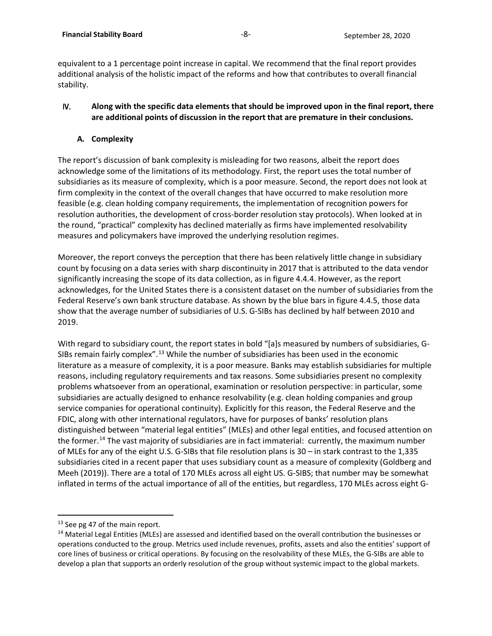equivalent to a 1 percentage point increase in capital. We recommend that the final report provides additional analysis of the holistic impact of the reforms and how that contributes to overall financial stability.

#### IV. **Along with the specific data elements that should be improved upon in the final report, there are additional points of discussion in the report that are premature in their conclusions.**

#### **A. Complexity**

The report's discussion of bank complexity is misleading for two reasons, albeit the report does acknowledge some of the limitations of its methodology. First, the report uses the total number of subsidiaries as its measure of complexity, which is a poor measure. Second, the report does not look at firm complexity in the context of the overall changes that have occurred to make resolution more feasible (e.g. clean holding company requirements, the implementation of recognition powers for resolution authorities, the development of cross-border resolution stay protocols). When looked at in the round, "practical" complexity has declined materially as firms have implemented resolvability measures and policymakers have improved the underlying resolution regimes.

Moreover, the report conveys the perception that there has been relatively little change in subsidiary count by focusing on a data series with sharp discontinuity in 2017 that is attributed to the data vendor significantly increasing the scope of its data collection, as in figure 4.4.4. However, as the report acknowledges, for the United States there is a consistent dataset on the number of subsidiaries from the Federal Reserve's own bank structure database. As shown by the blue bars in figure 4.4.5, those data show that the average number of subsidiaries of U.S. G-SIBs has declined by half between 2010 and 2019.

With regard to subsidiary count, the report states in bold "[a]s measured by numbers of subsidiaries, G-SIBs remain fairly complex".<sup>[13](#page-7-0)</sup> While the number of subsidiaries has been used in the economic literature as a measure of complexity, it is a poor measure. Banks may establish subsidiaries for multiple reasons, including regulatory requirements and tax reasons. Some subsidiaries present no complexity problems whatsoever from an operational, examination or resolution perspective: in particular, some subsidiaries are actually designed to enhance resolvability (e.g. clean holding companies and group service companies for operational continuity). Explicitly for this reason, the Federal Reserve and the FDIC, along with other international regulators, have for purposes of banks' resolution plans distinguished between "material legal entities" (MLEs) and other legal entities, and focused attention on the former.<sup>[14](#page-7-1)</sup> The vast majority of subsidiaries are in fact immaterial: currently, the maximum number of MLEs for any of the eight U.S. G-SIBs that file resolution plans is 30 – in stark contrast to the 1,335 subsidiaries cited in a recent paper that uses subsidiary count as a measure of complexity (Goldberg and Meeh (2019)). There are a total of 170 MLEs across all eight US. G-SIBS; that number may be somewhat inflated in terms of the actual importance of all of the entities, but regardless, 170 MLEs across eight G-

<span id="page-7-0"></span><sup>&</sup>lt;sup>13</sup> See pg 47 of the main report.

<span id="page-7-1"></span><sup>&</sup>lt;sup>14</sup> Material Legal Entities (MLEs) are assessed and identified based on the overall contribution the businesses or operations conducted to the group. Metrics used include revenues, profits, assets and also the entities' support of core lines of business or critical operations. By focusing on the resolvability of these MLEs, the G-SIBs are able to develop a plan that supports an orderly resolution of the group without systemic impact to the global markets.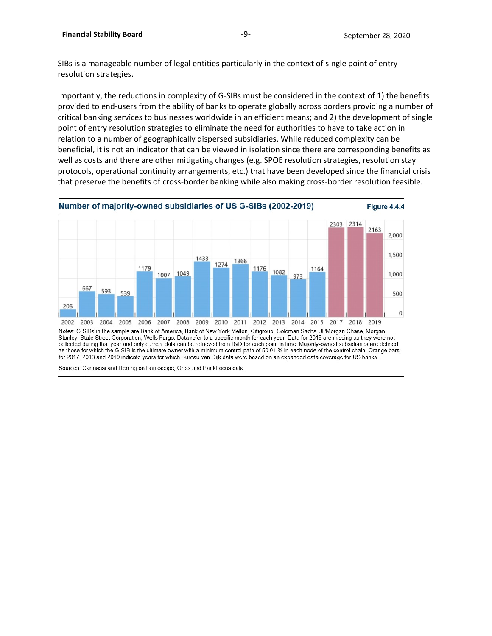SIBs is a manageable number of legal entities particularly in the context of single point of entry resolution strategies.

Importantly, the reductions in complexity of G-SIBs must be considered in the context of 1) the benefits provided to end-users from the ability of banks to operate globally across borders providing a number of critical banking services to businesses worldwide in an efficient means; and 2) the development of single point of entry resolution strategies to eliminate the need for authorities to have to take action in relation to a number of geographically dispersed subsidiaries. While reduced complexity can be beneficial, it is not an indicator that can be viewed in isolation since there are corresponding benefits as well as costs and there are other mitigating changes (e.g. SPOE resolution strategies, resolution stay protocols, operational continuity arrangements, etc.) that have been developed since the financial crisis that preserve the benefits of cross-border banking while also making cross-border resolution feasible.

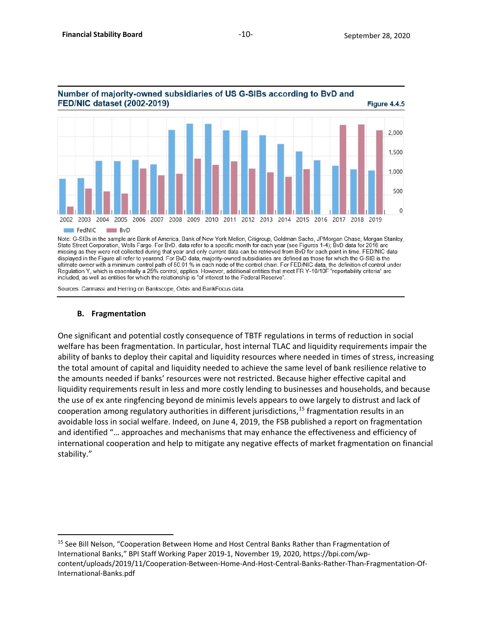

Number of majority-owned subsidiaries of US G-SIBs according to BvD and

Note: G-SIBs in the sample are Bank of America, Bank of New York Mellon, Citigroup, Goldman Sachs, JPMorgan Chase, Morgan Stanley, State Street Corporation, Wells Fargo. For BvD, data refer to a specific month for each year (see Figures 1-4); BvD data for 2016 are missing as they were not collected during that year and only current data can be retrieved from BvD for each point in time. FED/NIC data displayed in the Figure all refer to yearend. For BvD data, majority-owned subsidiaries are defined as those for which the G-SIB is the ultimate owner with a minimum control path of 50.01 % in each node of the control chain. For FED/NIC data, the definition of control under Regulation Y, which is essentially a 25% control, applies. However, additional entities that meet FR Y-10/10F "reportability criteria" are included, as well as entities for which the relationship is "of interest to the Federal Reserve".

Sources: Carmassi and Herring on Bankscope, Orbis and BankFocus data.

#### **B. Fragmentation**

One significant and potential costly consequence of TBTF regulations in terms of reduction in social welfare has been fragmentation. In particular, host internal TLAC and liquidity requirements impair the ability of banks to deploy their capital and liquidity resources where needed in times of stress, increasing the total amount of capital and liquidity needed to achieve the same level of bank resilience relative to the amounts needed if banks' resources were not restricted. Because higher effective capital and liquidity requirements result in less and more costly lending to businesses and households, and because the use of ex ante ringfencing beyond de minimis levels appears to owe largely to distrust and lack of cooperation among regulatory authorities in different jurisdictions,<sup>[15](#page-9-0)</sup> fragmentation results in an avoidable loss in social welfare. Indeed, on June 4, 2019, the FSB published a report on fragmentation and identified "… approaches and mechanisms that may enhance the effectiveness and efficiency of international cooperation and help to mitigate any negative effects of market fragmentation on financial stability."

<span id="page-9-0"></span><sup>&</sup>lt;sup>15</sup> See Bill Nelson, "Cooperation Between Home and Host Central Banks Rather than Fragmentation of International Banks," BPI Staff Working Paper 2019-1, November 19, 2020, https://bpi.com/wpcontent/uploads/2019/11/Cooperation-Between-Home-And-Host-Central-Banks-Rather-Than-Fragmentation-Of-International-Banks.pdf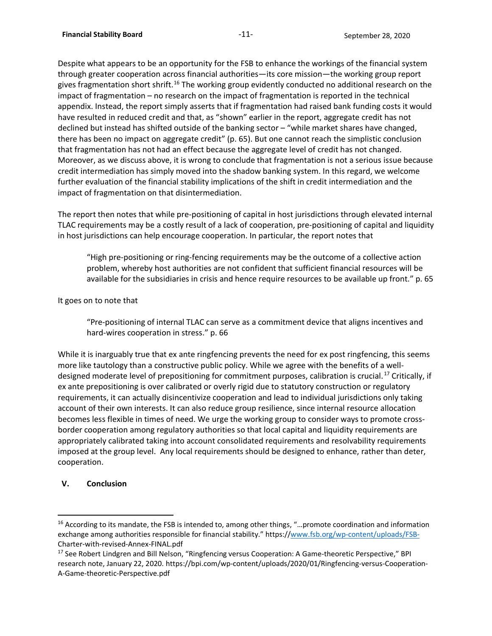Despite what appears to be an opportunity for the FSB to enhance the workings of the financial system through greater cooperation across financial authorities—its core mission—the working group report gives fragmentation short shrift.<sup>[16](#page-10-0)</sup> The working group evidently conducted no additional research on the impact of fragmentation – no research on the impact of fragmentation is reported in the technical appendix. Instead, the report simply asserts that if fragmentation had raised bank funding costs it would have resulted in reduced credit and that, as "shown" earlier in the report, aggregate credit has not declined but instead has shifted outside of the banking sector – "while market shares have changed, there has been no impact on aggregate credit" (p. 65). But one cannot reach the simplistic conclusion that fragmentation has not had an effect because the aggregate level of credit has not changed. Moreover, as we discuss above, it is wrong to conclude that fragmentation is not a serious issue because credit intermediation has simply moved into the shadow banking system. In this regard, we welcome further evaluation of the financial stability implications of the shift in credit intermediation and the impact of fragmentation on that disintermediation.

The report then notes that while pre-positioning of capital in host jurisdictions through elevated internal TLAC requirements may be a costly result of a lack of cooperation, pre-positioning of capital and liquidity in host jurisdictions can help encourage cooperation. In particular, the report notes that

"High pre-positioning or ring-fencing requirements may be the outcome of a collective action problem, whereby host authorities are not confident that sufficient financial resources will be available for the subsidiaries in crisis and hence require resources to be available up front." p. 65

#### It goes on to note that

"Pre-positioning of internal TLAC can serve as a commitment device that aligns incentives and hard-wires cooperation in stress." p. 66

While it is inarguably true that ex ante ringfencing prevents the need for ex post ringfencing, this seems more like tautology than a constructive public policy. While we agree with the benefits of a welldesigned moderate level of prepositioning for commitment purposes, calibration is crucial. [17](#page-10-1) Critically, if ex ante prepositioning is over calibrated or overly rigid due to statutory construction or regulatory requirements, it can actually disincentivize cooperation and lead to individual jurisdictions only taking account of their own interests. It can also reduce group resilience, since internal resource allocation becomes less flexible in times of need. We urge the working group to consider ways to promote crossborder cooperation among regulatory authorities so that local capital and liquidity requirements are appropriately calibrated taking into account consolidated requirements and resolvability requirements imposed at the group level. Any local requirements should be designed to enhance, rather than deter, cooperation.

# **V. Conclusion**

<span id="page-10-0"></span><sup>&</sup>lt;sup>16</sup> According to its mandate, the FSB is intended to, among other things, "...promote coordination and information exchange among authorities responsible for financial stability." https:/[/www.fsb.org/wp-content/uploads/FSB-](http://www.fsb.org/wp-content/uploads/FSB-)Charter-with-revised-Annex-FINAL.pdf

<span id="page-10-1"></span><sup>&</sup>lt;sup>17</sup> See Robert Lindgren and Bill Nelson, "Ringfencing versus Cooperation: A Game-theoretic Perspective," BPI research note, January 22, 2020. https://bpi.com/wp-content/uploads/2020/01/Ringfencing-versus-Cooperation-A-Game-theoretic-Perspective.pdf